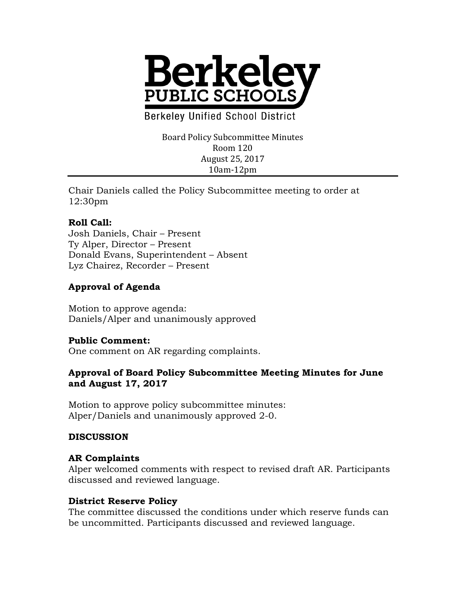

**Berkeley Unified School District** 

Board Policy Subcommittee Minutes Room 120 August 25, 2017 10am-12pm

Chair Daniels called the Policy Subcommittee meeting to order at 12:30pm

# **Roll Call:**

Josh Daniels, Chair – Present Ty Alper, Director – Present Donald Evans, Superintendent – Absent Lyz Chairez, Recorder – Present

# **Approval of Agenda**

Motion to approve agenda: Daniels/Alper and unanimously approved

#### **Public Comment:**

One comment on AR regarding complaints.

### **Approval of Board Policy Subcommittee Meeting Minutes for June and August 17, 2017**

Motion to approve policy subcommittee minutes: Alper/Daniels and unanimously approved 2-0.

#### **DISCUSSION**

#### **AR Complaints**

Alper welcomed comments with respect to revised draft AR. Participants discussed and reviewed language.

#### **District Reserve Policy**

The committee discussed the conditions under which reserve funds can be uncommitted. Participants discussed and reviewed language.